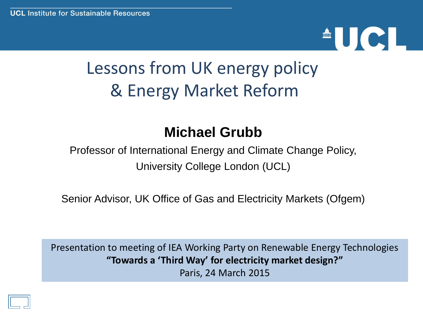# $\triangle$ UCI

# Lessons from UK energy policy & Energy Market Reform

#### **Michael Grubb**

Professor of International Energy and Climate Change Policy, University College London (UCL)

Senior Advisor, UK Office of Gas and Electricity Markets (Ofgem)

Presentation to meeting of IEA Working Party on Renewable Energy Technologies **"Towards a 'Third Way' for electricity market design?"** Paris, 24 March 2015

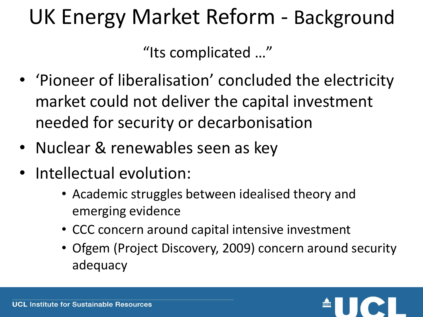# UK Energy Market Reform - Background

"Its complicated …"

- 'Pioneer of liberalisation' concluded the electricity market could not deliver the capital investment needed for security or decarbonisation
- Nuclear & renewables seen as key
- Intellectual evolution:
	- Academic struggles between idealised theory and emerging evidence
	- CCC concern around capital intensive investment
	- Ofgem (Project Discovery, 2009) concern around security adequacy

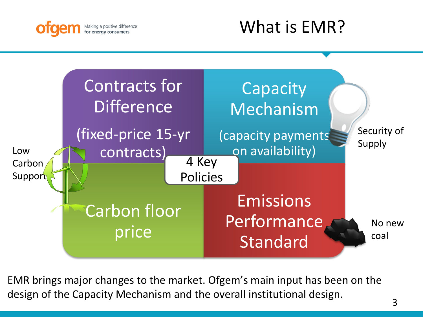

### What is EMR?



EMR brings major changes to the market. Ofgem's main input has been on the design of the Capacity Mechanism and the overall institutional design.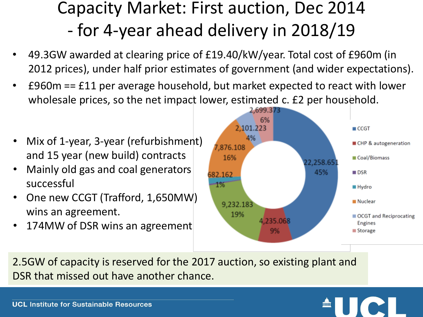## Capacity Market: First auction, Dec 2014 - for 4-year ahead delivery in 2018/19

- 49.3GW awarded at clearing price of £19.40/kW/year. Total cost of £960m (in 2012 prices), under half prior estimates of government (and wider expectations).
- £960m == £11 per average household, but market expected to react with lower wholesale prices, so the net impact lower, estimated c. £2 per household.
- Mix of 1-year, 3-year (refurbishment) and 15 year (new build) contracts
- Mainly old gas and coal generators successful
- One new CCGT (Trafford, 1,650MW) wins an agreement.
- 174MW of DSR wins an agreement



2.5GW of capacity is reserved for the 2017 auction, so existing plant and DSR that missed out have another chance.



**UCL Institute for Sustainable Resources**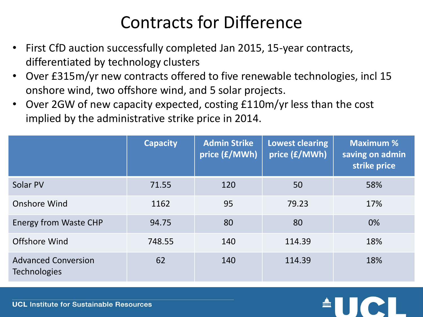### Contracts for Difference

- First CfD auction successfully completed Jan 2015, 15-year contracts, differentiated by technology clusters
- Over £315m/yr new contracts offered to five renewable technologies, incl 15 onshore wind, two offshore wind, and 5 solar projects.
- Over 2GW of new capacity expected, costing £110m/yr less than the cost implied by the administrative strike price in 2014.

|                                                   | <b>Capacity</b> | <b>Admin Strike</b><br>price (£/MWh) | <b>Lowest clearing</b><br>price (£/MWh) | <b>Maximum %</b><br>saving on admin<br>strike price |
|---------------------------------------------------|-----------------|--------------------------------------|-----------------------------------------|-----------------------------------------------------|
| Solar PV                                          | 71.55           | 120                                  | 50                                      | 58%                                                 |
| <b>Onshore Wind</b>                               | 1162            | 95                                   | 79.23                                   | 17%                                                 |
| <b>Energy from Waste CHP</b>                      | 94.75           | 80                                   | 80                                      | 0%                                                  |
| <b>Offshore Wind</b>                              | 748.55          | 140                                  | 114.39                                  | 18%                                                 |
| <b>Advanced Conversion</b><br><b>Technologies</b> | 62              | 140                                  | 114.39                                  | 18%                                                 |



**UCL Institute for Sustainable Resources**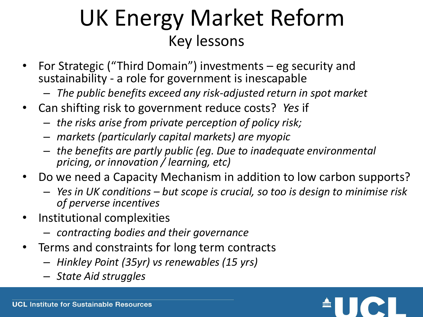# UK Energy Market Reform Key lessons

- For Strategic ("Third Domain") investments eg security and sustainability - a role for government is inescapable
	- *The public benefits exceed any risk-adjusted return in spot market*
- Can shifting risk to government reduce costs? *Yes* if
	- *the risks arise from private perception of policy risk;*
	- *markets (particularly capital markets) are myopic*
	- *the benefits are partly public (eg. Due to inadequate environmental pricing, or innovation / learning, etc)*
- Do we need a Capacity Mechanism in addition to low carbon supports?
	- *Yes in UK conditions – but scope is crucial, so too is design to minimise risk of perverse incentives*
- Institutional complexities
	- *contracting bodies and their governance*
- Terms and constraints for long term contracts
	- *Hinkley Point (35yr) vs renewables (15 yrs)*
	- *State Aid struggles*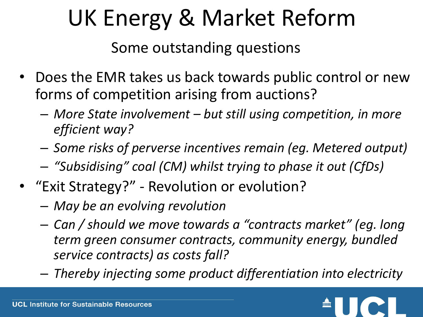# UK Energy & Market Reform

Some outstanding questions

- Does the EMR takes us back towards public control or new forms of competition arising from auctions?
	- *More State involvement – but still using competition, in more efficient way?*
	- *Some risks of perverse incentives remain (eg. Metered output)*
	- *"Subsidising" coal (CM) whilst trying to phase it out (CfDs)*
- "Exit Strategy?" Revolution or evolution?
	- *May be an evolving revolution*
	- *Can / should we move towards a "contracts market" (eg. long term green consumer contracts, community energy, bundled service contracts) as costs fall?*
	- *Thereby injecting some product differentiation into electricity*

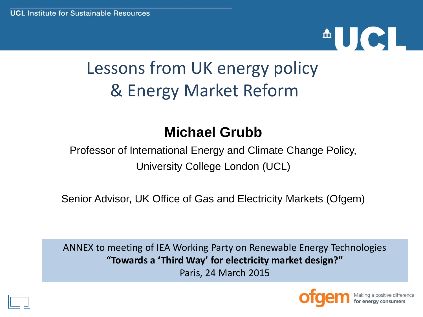# <sup>A</sup>UCI

# Lessons from UK energy policy & Energy Market Reform

#### **Michael Grubb**

Professor of International Energy and Climate Change Policy, University College London (UCL)

Senior Advisor, UK Office of Gas and Electricity Markets (Ofgem)

ANNEX to meeting of IEA Working Party on Renewable Energy Technologies **"Towards a 'Third Way' for electricity market design?"** Paris, 24 March 2015